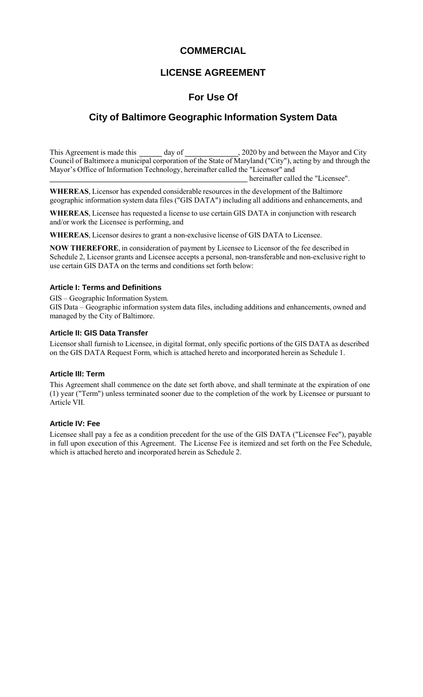# **COMMERCIAL**

# **LICENSE AGREEMENT**

# **For Use Of**

# **City of Baltimore Geographic Information System Data**

This Agreement is made this day of , 2020 by and between the Mayor and City Council of Baltimore a municipal corporation of the State of Maryland ("City"), acting by and through the Mayor's Office of Information Technology, hereinafter called the "Licensor" and

hereinafter called the "Licensee".

**WHEREAS**, Licensor has expended considerable resources in the development of the Baltimore geographic information system data files ("GIS DATA") including all additions and enhancements, and

**WHEREAS**, Licensee has requested a license to use certain GIS DATA in conjunction with research and/or work the Licensee is performing, and

WHEREAS, Licensor desires to grant a non-exclusive license of GIS DATA to Licensee.

**NOW THEREFORE**, in consideration of payment by Licensee to Licensor of the fee described in Schedule 2, Licensor grants and Licensee accepts a personal, non-transferable and non-exclusive right to use certain GIS DATA on the terms and conditions set forth below:

#### **Article I: Terms and Definitions**

GIS – Geographic Information System.

GIS Data – Geographic information system data files, including additions and enhancements, owned and managed by the City of Baltimore.

#### **Article II: GIS Data Transfer**

Licensor shall furnish to Licensee, in digital format, only specific portions of the GIS DATA as described on the GIS DATA Request Form, which is attached hereto and incorporated herein as Schedule 1.

#### **Article III: Term**

This Agreement shall commence on the date set forth above, and shall terminate at the expiration of one (1) year ("Term") unless terminated sooner due to the completion of the work by Licensee or pursuant to Article VII.

#### **Article IV: Fee**

Licensee shall pay a fee as a condition precedent for the use of the GIS DATA ("Licensee Fee"), payable in full upon execution of this Agreement. The License Fee is itemized and set forth on the Fee Schedule, which is attached hereto and incorporated herein as Schedule 2.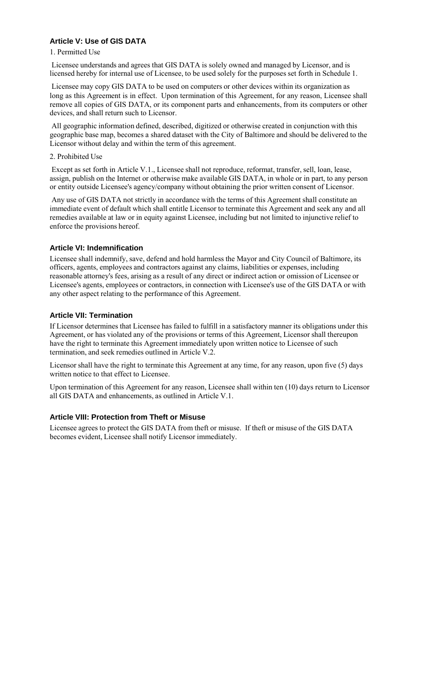## **Article V: Use of GIS DATA**

#### 1. Permitted Use

Licensee understands and agrees that GIS DATA is solely owned and managed by Licensor, and is licensed hereby for internal use of Licensee, to be used solely for the purposes set forth in Schedule 1.

Licensee may copy GIS DATA to be used on computers or other devices within its organization as long as this Agreement is in effect. Upon termination of this Agreement, for any reason, Licensee shall remove all copies of GIS DATA, or its component parts and enhancements, from its computers or other devices, and shall return such to Licensor.

All geographic information defined, described, digitized or otherwise created in conjunction with this geographic base map, becomes a shared dataset with the City of Baltimore and should be delivered to the Licensor without delay and within the term of this agreement.

2. Prohibited Use

Except as set forth in Article V.1., Licensee shall not reproduce, reformat, transfer, sell, loan, lease, assign, publish on the Internet or otherwise make available GIS DATA, in whole or in part, to any person or entity outside Licensee's agency/company without obtaining the prior written consent of Licensor.

Any use of GIS DATA not strictly in accordance with the terms of this Agreement shall constitute an immediate event of default which shall entitle Licensor to terminate this Agreement and seek any and all remedies available at law or in equity against Licensee, including but not limited to injunctive relief to enforce the provisions hereof.

#### **Article VI: Indemnification**

Licensee shall indemnify, save, defend and hold harmless the Mayor and City Council of Baltimore, its officers, agents, employees and contractors against any claims, liabilities or expenses, including reasonable attorney's fees, arising as a result of any direct or indirect action or omission of Licensee or Licensee's agents, employees or contractors, in connection with Licensee's use of the GIS DATA or with any other aspect relating to the performance of this Agreement.

#### **Article VII: Termination**

If Licensor determines that Licensee has failed to fulfill in a satisfactory manner its obligations under this Agreement, or has violated any of the provisions or terms of this Agreement, Licensor shall thereupon have the right to terminate this Agreement immediately upon written notice to Licensee of such termination, and seek remedies outlined in Article V.2.

Licensor shall have the right to terminate this Agreement at any time, for any reason, upon five (5) days written notice to that effect to Licensee.

Upon termination of this Agreement for any reason, Licensee shall within ten (10) days return to Licensor all GIS DATA and enhancements, as outlined in Article V.1.

#### **Article VIII: Protection from Theft or Misuse**

Licensee agrees to protect the GIS DATA from theft or misuse. If theft or misuse of the GIS DATA becomes evident, Licensee shall notify Licensor immediately.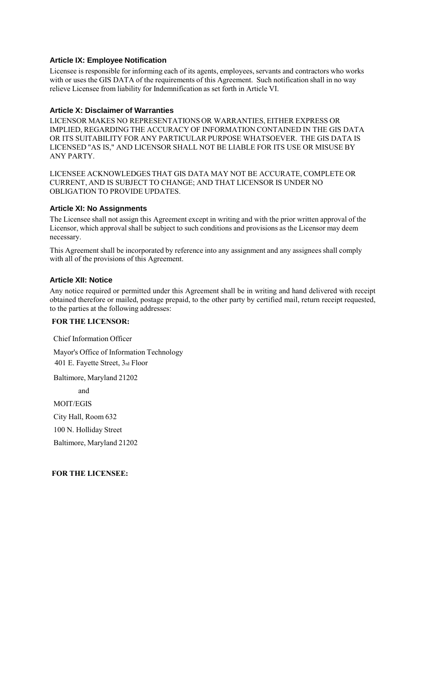#### **Article IX: Employee Notification**

Licensee is responsible for informing each of its agents, employees, servants and contractors who works with or uses the GIS DATA of the requirements of this Agreement. Such notification shall in no way relieve Licensee from liability for Indemnification as set forth in Article VI.

#### **Article X: Disclaimer of Warranties**

LICENSOR MAKES NO REPRESENTATIONS OR WARRANTIES, EITHER EXPRESS OR IMPLIED, REGARDING THE ACCURACY OF INFORMATION CONTAINED IN THE GIS DATA OR ITS SUITABILITY FOR ANY PARTICULAR PURPOSE WHATSOEVER. THE GIS DATA IS LICENSED "AS IS," AND LICENSOR SHALL NOT BE LIABLE FOR ITS USE OR MISUSE BY ANY PARTY.

LICENSEE ACKNOWLEDGES THAT GIS DATA MAY NOT BE ACCURATE, COMPLETE OR CURRENT, AND IS SUBJECT TO CHANGE; AND THAT LICENSOR IS UNDER NO OBLIGATION TO PROVIDE UPDATES.

#### **Article XI: No Assignments**

The Licensee shall not assign this Agreement except in writing and with the prior written approval of the Licensor, which approval shall be subject to such conditions and provisions as the Licensor may deem necessary.

This Agreement shall be incorporated by reference into any assignment and any assignees shall comply with all of the provisions of this Agreement.

#### **Article XII: Notice**

Any notice required or permitted under this Agreement shall be in writing and hand delivered with receipt obtained therefore or mailed, postage prepaid, to the other party by certified mail, return receipt requested, to the parties at the following addresses:

#### **FOR THE LICENSOR:**

Chief Information Officer

Mayor's Office of Information Technology 401 E. Fayette Street, 3rd Floor

Baltimore, Maryland 21202

and

MOIT/EGIS

City Hall, Room 632

100 N. Holliday Street

Baltimore, Maryland 21202

**FOR THE LICENSEE:**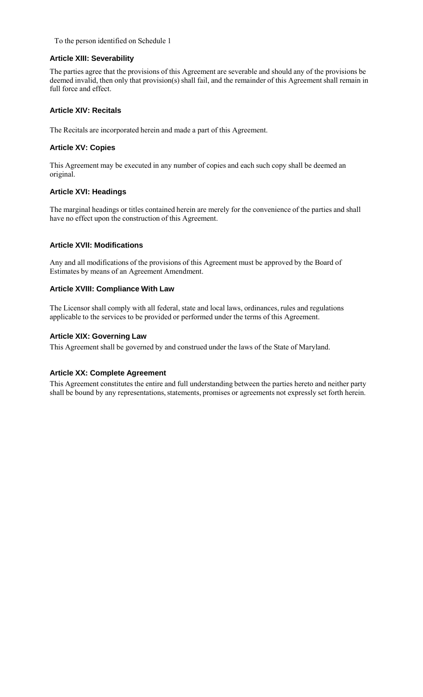#### To the person identified on Schedule 1

#### **Article XIII: Severability**

The parties agree that the provisions of this Agreement are severable and should any of the provisions be deemed invalid, then only that provision(s) shall fail, and the remainder of this Agreement shall remain in full force and effect.

#### **Article XIV: Recitals**

The Recitals are incorporated herein and made a part of this Agreement.

#### **Article XV: Copies**

This Agreement may be executed in any number of copies and each such copy shall be deemed an original.

#### **Article XVI: Headings**

The marginal headings or titles contained herein are merely for the convenience of the parties and shall have no effect upon the construction of this Agreement.

#### **Article XVII: Modifications**

Any and all modifications of the provisions of this Agreement must be approved by the Board of Estimates by means of an Agreement Amendment.

#### **Article XVIII: Compliance With Law**

The Licensor shall comply with all federal, state and local laws, ordinances, rules and regulations applicable to the services to be provided or performed under the terms of this Agreement.

#### **Article XIX: Governing Law**

This Agreement shall be governed by and construed under the laws of the State of Maryland.

#### **Article XX: Complete Agreement**

This Agreement constitutes the entire and full understanding between the parties hereto and neither party shall be bound by any representations, statements, promises or agreements not expressly set forth herein.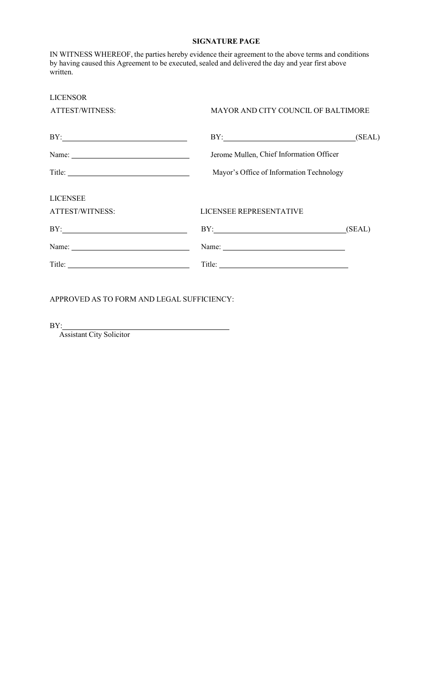#### **SIGNATURE PAGE**

IN WITNESS WHEREOF, the parties hereby evidence their agreement to the above terms and conditions by having caused this Agreement to be executed, sealed and delivered the day and year first above written.

| <b>LICENSOR</b> |                                          |                                     |  |  |
|-----------------|------------------------------------------|-------------------------------------|--|--|
| ATTEST/WITNESS: |                                          | MAYOR AND CITY COUNCIL OF BALTIMORE |  |  |
| BY:             | BY:                                      | (SEAL)                              |  |  |
|                 | Jerome Mullen, Chief Information Officer |                                     |  |  |
| Title:          | Mayor's Office of Information Technology |                                     |  |  |
| <b>LICENSEE</b> |                                          |                                     |  |  |
| ATTEST/WITNESS: | LICENSEE REPRESENTATIVE                  |                                     |  |  |
| BY:             | BY: (SEAL)                               |                                     |  |  |
| Name: Name:     |                                          |                                     |  |  |
| Title:          |                                          |                                     |  |  |
|                 |                                          |                                     |  |  |

APPROVED AS TO FORM AND LEGAL SUFFICIENCY:

 $BY:$ 

Assistant City Solicitor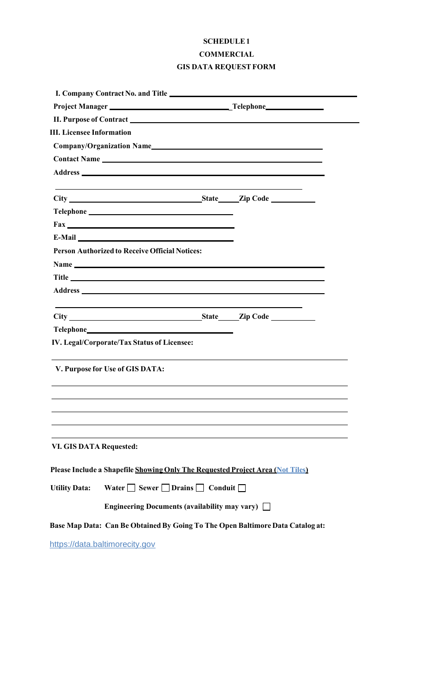# **SCHEDULE1 COMMERCIAL GIS DATA REQUEST FORM**

|                                  |                                                                                                                                                                                                                                      |  | I. Company Contract No. and Title<br><u>Letter and Title</u>                                                                                                                                                                              |  |  |
|----------------------------------|--------------------------------------------------------------------------------------------------------------------------------------------------------------------------------------------------------------------------------------|--|-------------------------------------------------------------------------------------------------------------------------------------------------------------------------------------------------------------------------------------------|--|--|
|                                  | Project Manager<br><u>Project Manager</u>                                                                                                                                                                                            |  |                                                                                                                                                                                                                                           |  |  |
|                                  |                                                                                                                                                                                                                                      |  |                                                                                                                                                                                                                                           |  |  |
| <b>III.</b> Licensee Information |                                                                                                                                                                                                                                      |  |                                                                                                                                                                                                                                           |  |  |
|                                  |                                                                                                                                                                                                                                      |  |                                                                                                                                                                                                                                           |  |  |
|                                  |                                                                                                                                                                                                                                      |  | <b>Contact Name</b> <u>and the contract of the contract of the contract of the contract of the contract of the contract of the contract of the contract of the contract of the contract of the contract of the contract of the contra</u> |  |  |
|                                  |                                                                                                                                                                                                                                      |  | Address and the contract of the contract of the contract of the contract of the contract of the contract of the contract of the contract of the contract of the contract of the contract of the contract of the contract of th            |  |  |
|                                  |                                                                                                                                                                                                                                      |  |                                                                                                                                                                                                                                           |  |  |
|                                  |                                                                                                                                                                                                                                      |  |                                                                                                                                                                                                                                           |  |  |
|                                  |                                                                                                                                                                                                                                      |  |                                                                                                                                                                                                                                           |  |  |
|                                  | E-Mail <u>and the community of the community of the community of the community of the community of the community of the community of the community of the community of the community of the community of the community of the co</u> |  |                                                                                                                                                                                                                                           |  |  |
|                                  | <b>Person Authorized to Receive Official Notices:</b>                                                                                                                                                                                |  |                                                                                                                                                                                                                                           |  |  |
|                                  |                                                                                                                                                                                                                                      |  |                                                                                                                                                                                                                                           |  |  |
|                                  |                                                                                                                                                                                                                                      |  |                                                                                                                                                                                                                                           |  |  |
|                                  |                                                                                                                                                                                                                                      |  |                                                                                                                                                                                                                                           |  |  |
|                                  |                                                                                                                                                                                                                                      |  | the control of the control of the control of the control of the control of                                                                                                                                                                |  |  |
|                                  |                                                                                                                                                                                                                                      |  |                                                                                                                                                                                                                                           |  |  |
|                                  | IV. Legal/Corporate/Tax Status of Licensee:                                                                                                                                                                                          |  |                                                                                                                                                                                                                                           |  |  |
|                                  | V. Purpose for Use of GIS DATA:                                                                                                                                                                                                      |  |                                                                                                                                                                                                                                           |  |  |
|                                  |                                                                                                                                                                                                                                      |  |                                                                                                                                                                                                                                           |  |  |
| <b>VI. GIS DATA Requested:</b>   |                                                                                                                                                                                                                                      |  |                                                                                                                                                                                                                                           |  |  |
|                                  |                                                                                                                                                                                                                                      |  | Please Include a Shapefile Showing Only The Requested Project Area (Not Tiles)                                                                                                                                                            |  |  |
| <b>Utility Data:</b>             | Water $\Box$ Sewer $\Box$ Drains $\Box$ Conduit $\Box$                                                                                                                                                                               |  |                                                                                                                                                                                                                                           |  |  |
|                                  | Engineering Documents (availability may vary) $\Box$                                                                                                                                                                                 |  |                                                                                                                                                                                                                                           |  |  |
|                                  |                                                                                                                                                                                                                                      |  | Base Map Data: Can Be Obtained By Going To The Open Baltimore Data Catalog at:                                                                                                                                                            |  |  |
|                                  | https://data.baltimorecity.gov                                                                                                                                                                                                       |  |                                                                                                                                                                                                                                           |  |  |